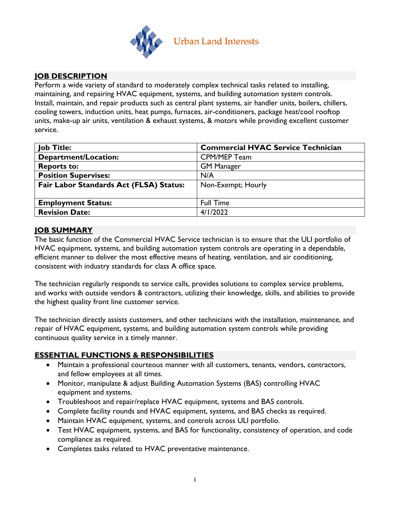

# **JOB DESCRIPTION**

Perform a wide variety of standard to moderately complex technical tasks related to installing, maintaining, and repairing HVAC equipment, systems, and building automation system controls. Install, maintain, and repair products such as central plant systems, air handler units, boilers, chillers, cooling towers, induction units, heat pumps, furnaces, air-conditioners, package heat/cool rooftop units, make-up air units, ventilation & exhaust systems, & motors while providing excellent customer service.

| <b>Job Title:</b>                       | <b>Commercial HVAC Service Technician</b> |  |  |
|-----------------------------------------|-------------------------------------------|--|--|
| Department/Location:                    | CPM/MEP Team                              |  |  |
| <b>Reports to:</b>                      | <b>GM Manager</b>                         |  |  |
| <b>Position Supervises:</b>             | N/A                                       |  |  |
| Fair Labor Standards Act (FLSA) Status: | Non-Exempt; Hourly                        |  |  |
|                                         |                                           |  |  |
| <b>Employment Status:</b>               | <b>Full Time</b>                          |  |  |
| <b>Revision Date:</b>                   | 4/1/2022                                  |  |  |

### **JOB SUMMARY**

The basic function of the Commercial HVAC Service technician is to ensure that the ULI portfolio of HVAC equipment, systems, and building automation system controls are operating in a dependable, efficient manner to deliver the most effective means of heating, ventilation, and air conditioning, consistent with industry standards for class A office space.

The technician regularly responds to service calls, provides solutions to complex service problems, and works with outside vendors & contractors, utilizing their knowledge, skills, and abilities to provide the highest quality front line customer service.

The technician directly assists customers, and other technicians with the installation, maintenance, and repair of HVAC equipment, systems, and building automation system controls while providing continuous quality service in a timely manner.

## **ESSENTIAL FUNCTIONS & RESPONSIBILITIES**

- Maintain a professional courteous manner with all customers, tenants, vendors, contractors, and fellow employees at all times.
- Monitor, manipulate & adjust Building Automation Systems (BAS) controlling HVAC equipment and systems.
- Troubleshoot and repair/replace HVAC equipment, systems and BAS controls.
- Complete facility rounds and HVAC equipment, systems, and BAS checks as required.
- Maintain HVAC equipment, systems, and controls across ULI portfolio.
- Test HVAC equipment, systems, and BAS for functionality, consistency of operation, and code compliance as required.
- Completes tasks related to HVAC preventative maintenance.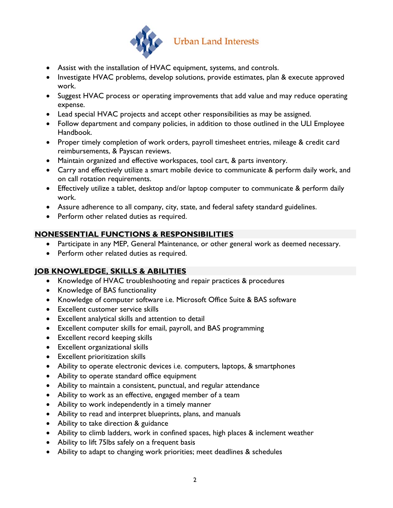

- Assist with the installation of HVAC equipment, systems, and controls.
- Investigate HVAC problems, develop solutions, provide estimates, plan & execute approved work.
- Suggest HVAC process or operating improvements that add value and may reduce operating expense.
- Lead special HVAC projects and accept other responsibilities as may be assigned.
- Follow department and company policies, in addition to those outlined in the ULI Employee Handbook.
- Proper timely completion of work orders, payroll timesheet entries, mileage & credit card reimbursements, & Payscan reviews.
- Maintain organized and effective workspaces, tool cart, & parts inventory.
- Carry and effectively utilize a smart mobile device to communicate & perform daily work, and on call rotation requirements.
- Effectively utilize a tablet, desktop and/or laptop computer to communicate & perform daily work.
- Assure adherence to all company, city, state, and federal safety standard guidelines.
- Perform other related duties as required.

# **NONESSENTIAL FUNCTIONS & RESPONSIBILITIES**

- Participate in any MEP, General Maintenance, or other general work as deemed necessary.
- Perform other related duties as required.

## **JOB KNOWLEDGE, SKILLS & ABILITIES**

- Knowledge of HVAC troubleshooting and repair practices & procedures
- Knowledge of BAS functionality
- Knowledge of computer software i.e. Microsoft Office Suite & BAS software
- Excellent customer service skills
- Excellent analytical skills and attention to detail
- Excellent computer skills for email, payroll, and BAS programming
- Excellent record keeping skills
- Excellent organizational skills
- Excellent prioritization skills
- Ability to operate electronic devices i.e. computers, laptops, & smartphones
- Ability to operate standard office equipment
- Ability to maintain a consistent, punctual, and regular attendance
- Ability to work as an effective, engaged member of a team
- Ability to work independently in a timely manner
- Ability to read and interpret blueprints, plans, and manuals
- Ability to take direction & guidance
- Ability to climb ladders, work in confined spaces, high places & inclement weather
- Ability to lift 75lbs safely on a frequent basis
- Ability to adapt to changing work priorities; meet deadlines & schedules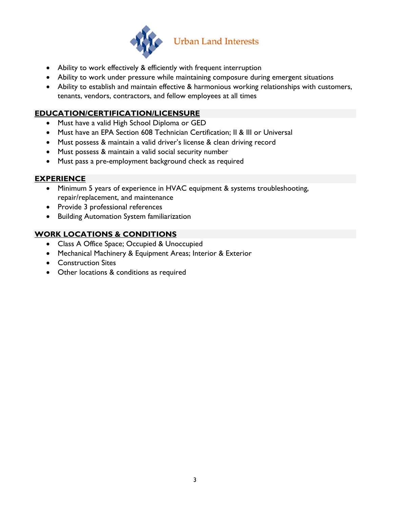

- Ability to work effectively & efficiently with frequent interruption
- Ability to work under pressure while maintaining composure during emergent situations
- Ability to establish and maintain effective & harmonious working relationships with customers, tenants, vendors, contractors, and fellow employees at all times

# **EDUCATION/CERTIFICATION/LICENSURE**

- Must have a valid High School Diploma or GED
- Must have an EPA Section 608 Technician Certification; II & III or Universal
- Must possess & maintain a valid driver's license & clean driving record
- Must possess & maintain a valid social security number
- Must pass a pre-employment background check as required

### **EXPERIENCE**

- Minimum 5 years of experience in HVAC equipment & systems troubleshooting, repair/replacement, and maintenance
- Provide 3 professional references
- **•** Building Automation System familiarization

# **WORK LOCATIONS & CONDITIONS**

- Class A Office Space; Occupied & Unoccupied
- Mechanical Machinery & Equipment Areas; Interior & Exterior
- Construction Sites
- Other locations & conditions as required